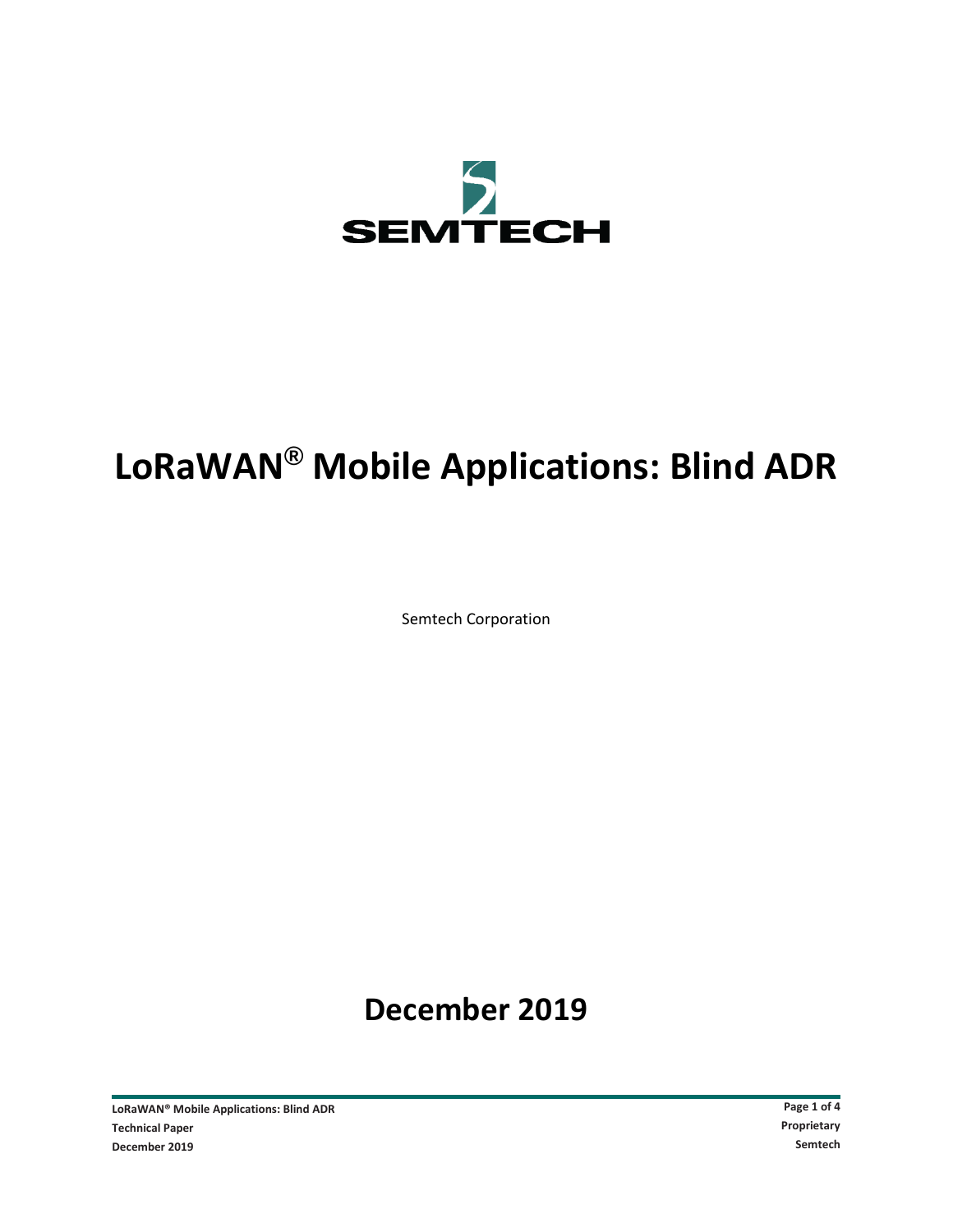

# **LoRaWAN® Mobile Applications: Blind ADR**

Semtech Corporation

**December 2019**

**LoRaWAN® Mobile Applications: Blind ADR Page 1 of 4 Technical Paper Proprietary December 2019 Semtech**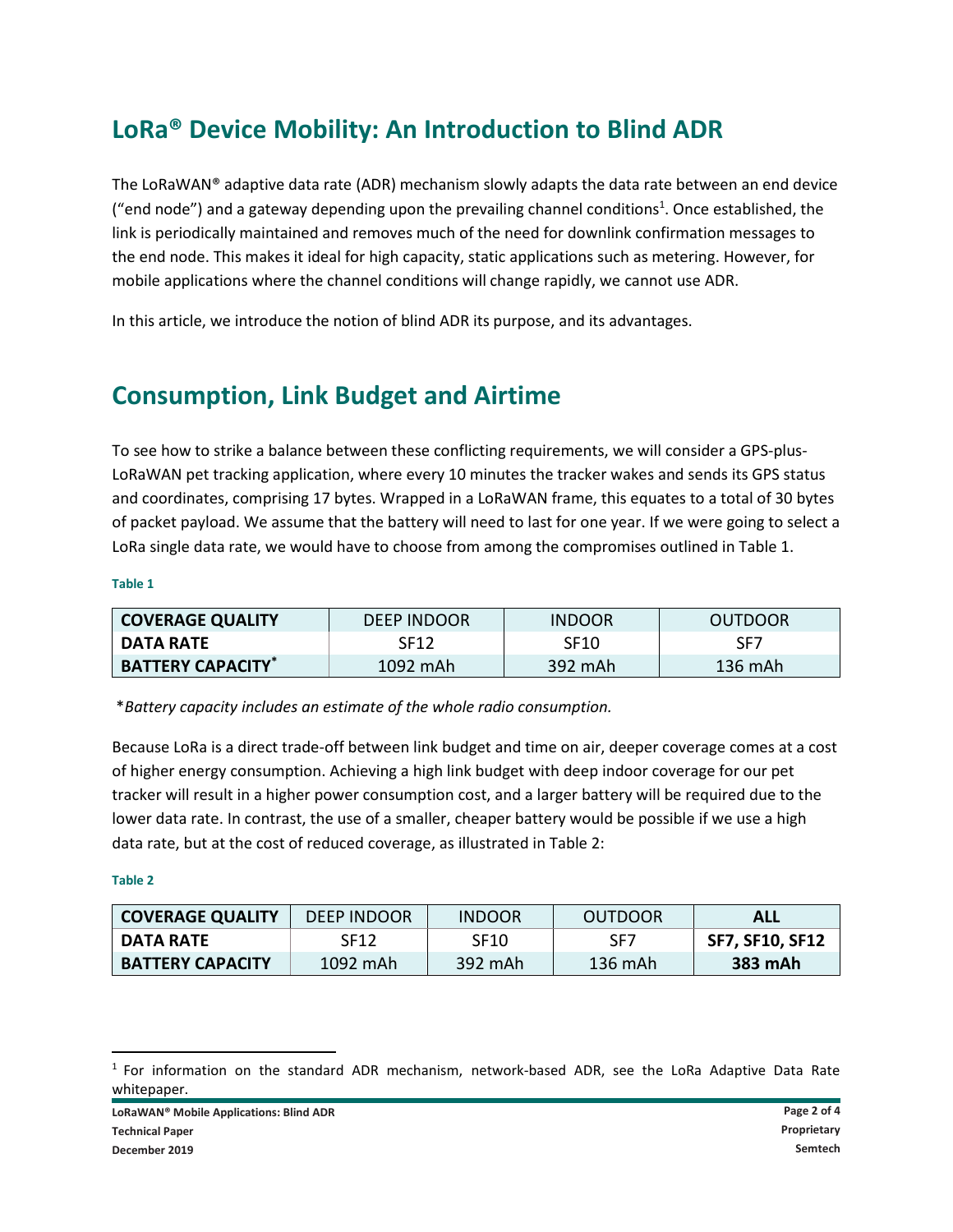# **LoRa® Device Mobility: An Introduction to Blind ADR**

The LoRaWAN® adaptive data rate (ADR) mechanism slowly adapts the data rate between an end device ("end node") and a gateway depending upon the prevailing channel conditions<sup>1</sup>. Once established, the link is periodically maintained and removes much of the need for downlink confirmation messages to the end node. This makes it ideal for high capacity, static applications such as metering. However, for mobile applications where the channel conditions will change rapidly, we cannot use ADR.

In this article, we introduce the notion of blind ADR its purpose, and its advantages.

### **Consumption, Link Budget and Airtime**

To see how to strike a balance between these conflicting requirements, we will consider a GPS-plus-LoRaWAN pet tracking application, where every 10 minutes the tracker wakes and sends its GPS status and coordinates, comprising 17 bytes. Wrapped in a LoRaWAN frame, this equates to a total of 30 bytes of packet payload. We assume that the battery will need to last for one year. If we were going to select a LoRa single data rate, we would have to choose from among the compromises outlined in Table 1.

#### **Table 1**

| COVERAGE QUALITY                     | DEEP INDOOR      | <b>INDOOR</b> | <b>OUTDOOR</b>  |
|--------------------------------------|------------------|---------------|-----------------|
| l DATA RATE                          | SF <sub>12</sub> | <b>SF10</b>   | SF <sub>7</sub> |
| <b>BATTERY CAPACITY*</b><br>1092 mAh |                  | 392 mAh       | $136$ mAh       |

\**Battery capacity includes an estimate of the whole radio consumption.*

Because LoRa is a direct trade-off between link budget and time on air, deeper coverage comes at a cost of higher energy consumption. Achieving a high link budget with deep indoor coverage for our pet tracker will result in a higher power consumption cost, and a larger battery will be required due to the lower data rate. In contrast, the use of a smaller, cheaper battery would be possible if we use a high data rate, but at the cost of reduced coverage, as illustrated in Table 2:

#### **Table 2**

l

| <b>COVERAGE QUALITY</b> | DEEP INDOOR      | <b>INDOOR</b> | <b>OUTDOOR</b>  | ALL                    |
|-------------------------|------------------|---------------|-----------------|------------------------|
| l DATA RATE             | SF <sub>12</sub> | SF10          | SF <sub>7</sub> | <b>SF7, SF10, SF12</b> |
| <b>BATTERY CAPACITY</b> | $1092$ mAh       | 392 mAh       | 136 mAh         | 383 mAh                |

<sup>&</sup>lt;sup>1</sup> For information on the standard ADR mechanism, network-based ADR, see the LoRa Adaptive Data Rate whitepaper.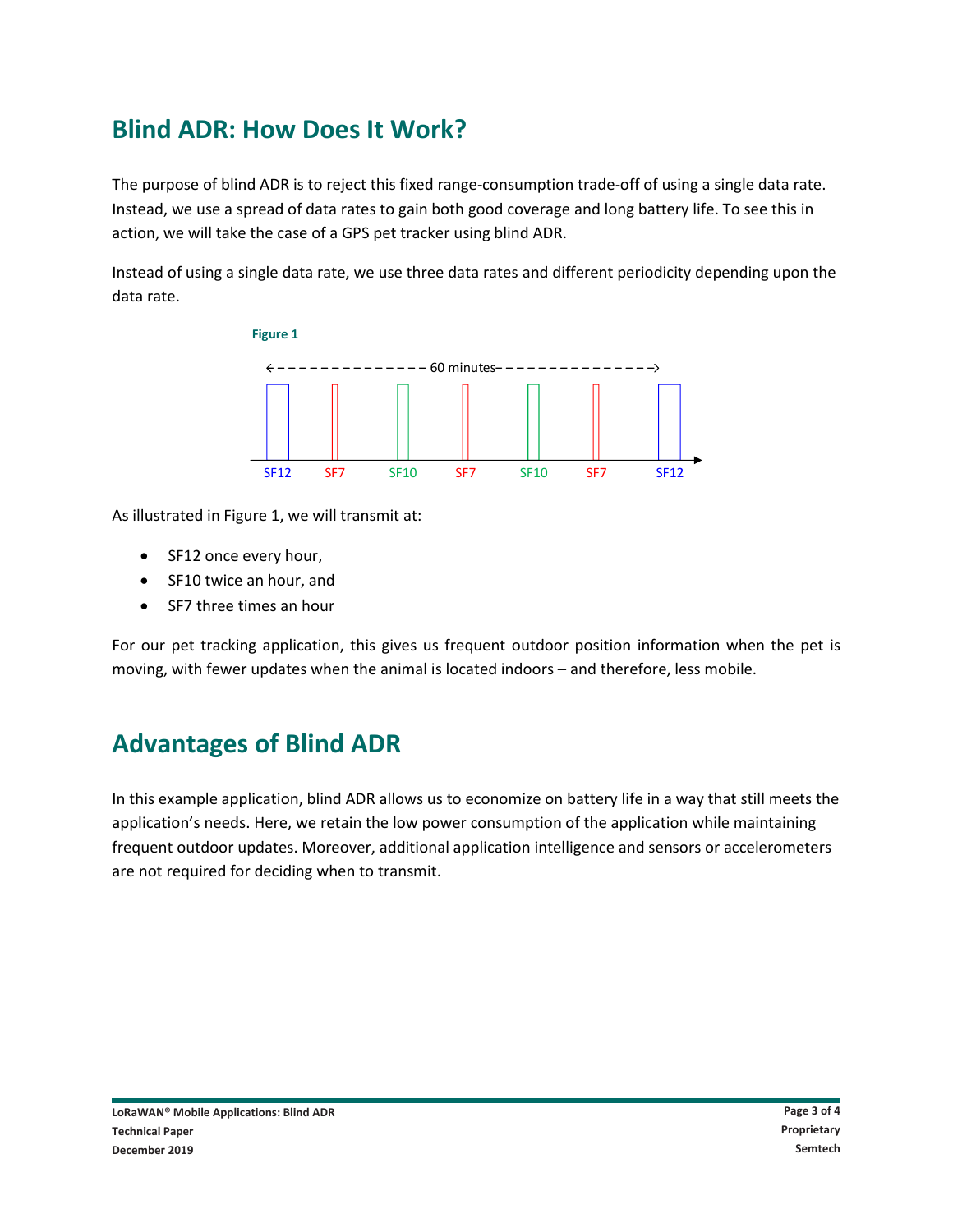# **Blind ADR: How Does It Work?**

The purpose of blind ADR is to reject this fixed range-consumption trade-off of using a single data rate. Instead, we use a spread of data rates to gain both good coverage and long battery life. To see this in action, we will take the case of a GPS pet tracker using blind ADR.

Instead of using a single data rate, we use three data rates and different periodicity depending upon the data rate.



As illustrated in Figure 1, we will transmit at:

- SF12 once every hour,
- SF10 twice an hour, and
- SF7 three times an hour

For our pet tracking application, this gives us frequent outdoor position information when the pet is moving, with fewer updates when the animal is located indoors – and therefore, less mobile.

### **Advantages of Blind ADR**

In this example application, blind ADR allows us to economize on battery life in a way that still meets the application's needs. Here, we retain the low power consumption of the application while maintaining frequent outdoor updates. Moreover, additional application intelligence and sensors or accelerometers are not required for deciding when to transmit.